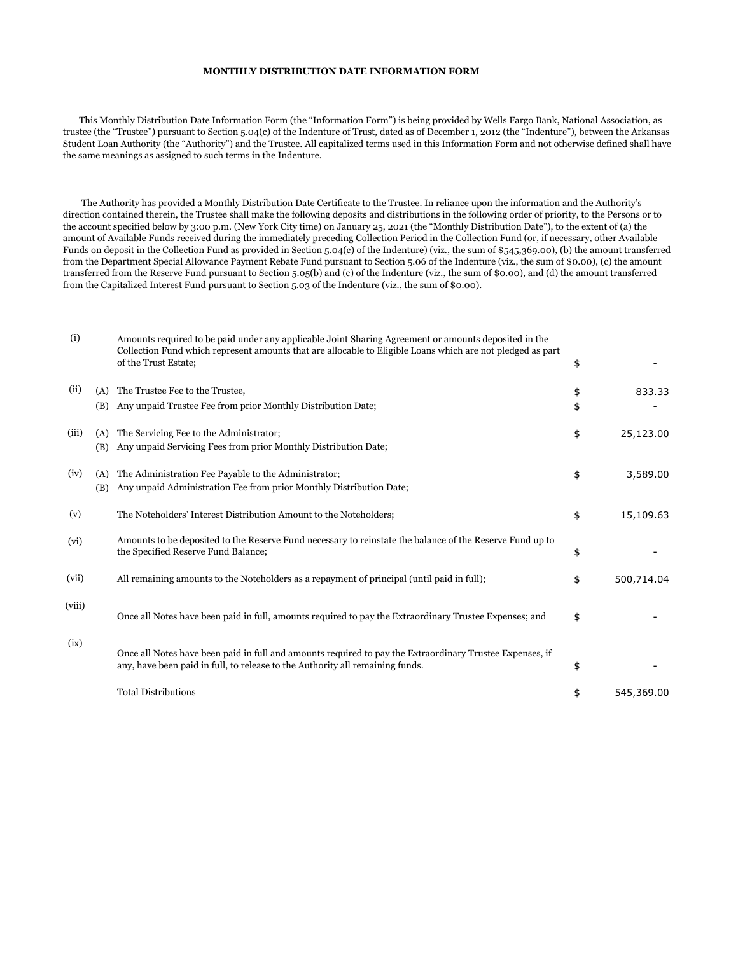## **MONTHLY DISTRIBUTION DATE INFORMATION FORM**

 This Monthly Distribution Date Information Form (the "Information Form") is being provided by Wells Fargo Bank, National Association, as trustee (the "Trustee") pursuant to Section 5.04(c) of the Indenture of Trust, dated as of December 1, 2012 (the "Indenture"), between the Arkansas Student Loan Authority (the "Authority") and the Trustee. All capitalized terms used in this Information Form and not otherwise defined shall have the same meanings as assigned to such terms in the Indenture.

 The Authority has provided a Monthly Distribution Date Certificate to the Trustee. In reliance upon the information and the Authority's direction contained therein, the Trustee shall make the following deposits and distributions in the following order of priority, to the Persons or to the account specified below by 3:00 p.m. (New York City time) on January 25, 2021 (the "Monthly Distribution Date"), to the extent of (a) the amount of Available Funds received during the immediately preceding Collection Period in the Collection Fund (or, if necessary, other Available Funds on deposit in the Collection Fund as provided in Section 5.04(c) of the Indenture) (viz., the sum of \$545,369.00), (b) the amount transferred from the Department Special Allowance Payment Rebate Fund pursuant to Section 5.06 of the Indenture (viz., the sum of \$0.00), (c) the amount transferred from the Reserve Fund pursuant to Section 5.05(b) and (c) of the Indenture (viz., the sum of \$0.00), and (d) the amount transferred from the Capitalized Interest Fund pursuant to Section 5.03 of the Indenture (viz., the sum of \$0.00).

| (i)    |            | Amounts required to be paid under any applicable Joint Sharing Agreement or amounts deposited in the<br>Collection Fund which represent amounts that are allocable to Eligible Loans which are not pledged as part<br>of the Trust Estate; | \$       |            |
|--------|------------|--------------------------------------------------------------------------------------------------------------------------------------------------------------------------------------------------------------------------------------------|----------|------------|
| (ii)   | (A)<br>(B) | The Trustee Fee to the Trustee,<br>Any unpaid Trustee Fee from prior Monthly Distribution Date;                                                                                                                                            | \$<br>\$ | 833.33     |
| (iii)  | (A)<br>(B) | The Servicing Fee to the Administrator;<br>Any unpaid Servicing Fees from prior Monthly Distribution Date;                                                                                                                                 | \$       | 25,123.00  |
| (iv)   | (A)<br>(B) | The Administration Fee Payable to the Administrator;<br>Any unpaid Administration Fee from prior Monthly Distribution Date;                                                                                                                | \$       | 3,589.00   |
| (v)    |            | The Noteholders' Interest Distribution Amount to the Noteholders;                                                                                                                                                                          | \$       | 15,109.63  |
| (vi)   |            | Amounts to be deposited to the Reserve Fund necessary to reinstate the balance of the Reserve Fund up to<br>the Specified Reserve Fund Balance;                                                                                            | \$       |            |
| (vii)  |            | All remaining amounts to the Noteholders as a repayment of principal (until paid in full);                                                                                                                                                 | \$       | 500,714.04 |
| (viii) |            | Once all Notes have been paid in full, amounts required to pay the Extraordinary Trustee Expenses; and                                                                                                                                     | \$       |            |
| (ix)   |            | Once all Notes have been paid in full and amounts required to pay the Extraordinary Trustee Expenses, if<br>any, have been paid in full, to release to the Authority all remaining funds.                                                  | \$       |            |
|        |            | <b>Total Distributions</b>                                                                                                                                                                                                                 | \$       | 545,369.00 |